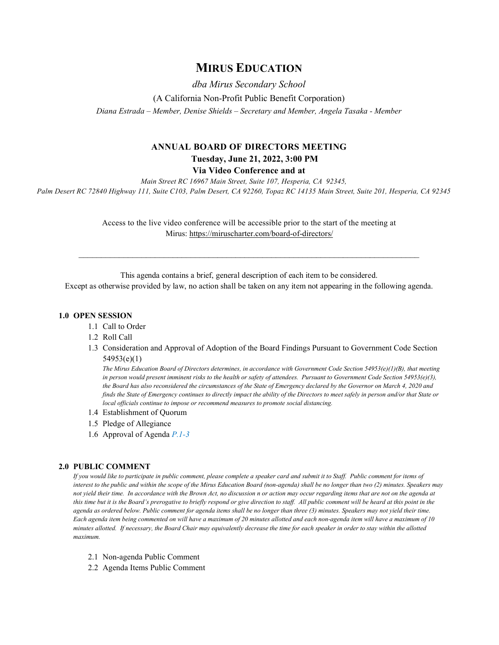## **MIRUS EDUCATION**

*dba Mirus Secondary School*  (A California Non-Profit Public Benefit Corporation) *Diana Estrada – Member, Denise Shields – Secretary and Member, Angela Tasaka - Member*

# **ANNUAL BOARD OF DIRECTORS MEETING Tuesday, June 21, 2022, 3:00 PM**

**Via Video Conference and at**

*Main Street RC 16967 Main Street, Suite 107, Hesperia, CA 92345,* 

*Palm Desert RC 72840 Highway 111, Suite C103, Palm Desert, CA 92260, Topaz RC 14135 Main Street, Suite 201, Hesperia, CA 92345* 

Access to the live video conference will be accessible prior to the start of the meeting at Mirus:<https://miruscharter.com/board-of-directors/>

This agenda contains a brief, general description of each item to be considered.

\_\_\_\_\_\_\_\_\_\_\_\_\_\_\_\_\_\_\_\_\_\_\_\_\_\_\_\_\_\_\_\_\_\_\_\_\_\_\_\_\_\_\_\_\_\_\_\_\_\_\_\_\_\_\_\_\_\_\_\_\_\_\_\_\_\_\_\_\_\_\_\_\_\_\_\_

Except as otherwise provided by law, no action shall be taken on any item not appearing in the following agenda.

#### **1.0 OPEN SESSION**

- 1.1 Call to Order
- 1.2 Roll Call
- 1.3 Consideration and Approval of Adoption of the Board Findings Pursuant to Government Code Section 54953(e)(1)

*The Mirus Education Board of Directors determines, in accordance with Government Code Section 54953(e)(1)(B), that meeting in person would present imminent risks to the health or safety of attendees. Pursuant to Government Code Section 54953(e)(3), the Board has also reconsidered the circumstances of the State of Emergency declared by the Governor on March 4, 2020 and finds the State of Emergency continues to directly impact the ability of the Directors to meet safely in person and/or that State or local officials continue to impose or recommend measures to promote social distancing.*

- 1.4 Establishment of Quorum
- 1.5 Pledge of Allegiance
- 1.6 Approval of Agenda *P.1-3*

#### **2.0 PUBLIC COMMENT**

*If you would like to participate in public comment, please complete a speaker card and submit it to Staff. Public comment for items of interest to the public and within the scope of the Mirus Education Board (non-agenda) shall be no longer than two (2) minutes. Speakers may not yield their time. In accordance with the Brown Act, no discussion n or action may occur regarding items that are not on the agenda at*  this time but it is the Board's prerogative to briefly respond or give direction to staff. All public comment will be heard at this point in the *agenda as ordered below. Public comment for agenda items shall be no longer than three (3) minutes. Speakers may not yield their time. Each agenda item being commented on will have a maximum of 20 minutes allotted and each non-agenda item will have a maximum of 10 minutes allotted. If necessary, the Board Chair may equivalently decrease the time for each speaker in order to stay within the allotted maximum.*

- 2.1 Non-agenda Public Comment
- 2.2 Agenda Items Public Comment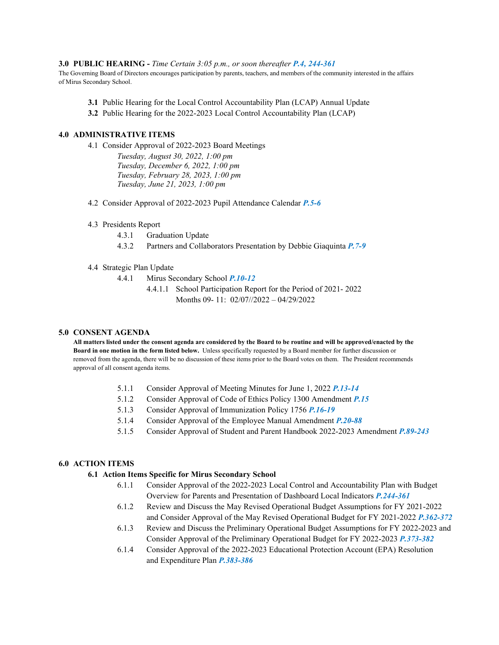#### **3.0 PUBLIC HEARING -** *Time Certain 3:05 p.m., or soon thereafter P.4, 244-361*

The Governing Board of Directors encourages participation by parents, teachers, and members of the community interested in the affairs of Mirus Secondary School.

- **3.1** Public Hearing for the Local Control Accountability Plan (LCAP) Annual Update
- **3.2** Public Hearing for the 2022-2023 Local Control Accountability Plan (LCAP)

### **4.0 ADMINISTRATIVE ITEMS**

4.1 Consider Approval of 2022-2023 Board Meetings

*Tuesday, August 30, 2022, 1:00 pm Tuesday, December 6, 2022, 1:00 pm Tuesday, February 28, 2023, 1:00 pm Tuesday, June 21, 2023, 1:00 pm*

- 4.2 Consider Approval of 2022-2023 Pupil Attendance Calendar *P.5-6*
- 4.3 Presidents Report
	- 4.3.1 Graduation Update
	- 4.3.2 Partners and Collaborators Presentation by Debbie Giaquinta *P.7-9*
- 4.4 Strategic Plan Update
	- 4.4.1 Mirus Secondary School *P.10-12*
		- 4.4.1.1 School Participation Report for the Period of 2021- 2022 Months 09- 11: 02/07//2022 – 04/29/2022

#### **5.0 CONSENT AGENDA**

**All matters listed under the consent agenda are considered by the Board to be routine and will be approved/enacted by the Board in one motion in the form listed below.** Unless specifically requested by a Board member for further discussion or removed from the agenda, there will be no discussion of these items prior to the Board votes on them. The President recommends approval of all consent agenda items.

- 5.1.1 Consider Approval of Meeting Minutes for June 1, 2022 *P.13-14*
- 5.1.2 Consider Approval of Code of Ethics Policy 1300 Amendment *P.15*
- 5.1.3 Consider Approval of Immunization Policy 1756 *P.16-19*
- 5.1.4 Consider Approval of the Employee Manual Amendment *P.20-88*
- 5.1.5 Consider Approval of Student and Parent Handbook 2022-2023 Amendment *P.89-243*

### **6.0 ACTION ITEMS**

### **6.1 Action Items Specific for Mirus Secondary School**

- 6.1.1 Consider Approval of the 2022-2023 Local Control and Accountability Plan with Budget Overview for Parents and Presentation of Dashboard Local Indicators *P.244-361*
- 6.1.2 Review and Discuss the May Revised Operational Budget Assumptions for FY 2021-2022 and Consider Approval of the May Revised Operational Budget for FY 2021-2022 *P.362-372*
- 6.1.3 Review and Discuss the Preliminary Operational Budget Assumptions for FY 2022-2023 and Consider Approval of the Preliminary Operational Budget for FY 2022-2023 *P.373-382*
- 6.1.4 Consider Approval of the 2022-2023 Educational Protection Account (EPA) Resolution and Expenditure Plan *P.383-386*